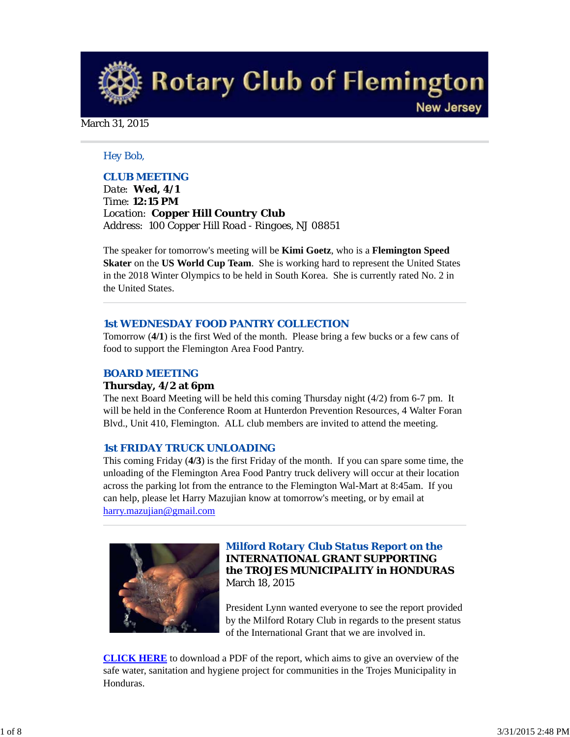**Rotary Club of Flemington New Jersey** 

## March 31, 2015

## *Hey Bob,*

## *CLUB MEETING*

*Date: Wed, 4/1 Time: 12:15 PM Location: Copper Hill Country Club Address: 100 Copper Hill Road - Ringoes, NJ 08851*

The speaker for tomorrow's meeting will be **Kimi Goetz**, who is a **Flemington Speed Skater** on the **US World Cup Team**. She is working hard to represent the United States in the 2018 Winter Olympics to be held in South Korea. She is currently rated No. 2 in the United States.

### *1st WEDNESDAY FOOD PANTRY COLLECTION*

Tomorrow (**4/1**) is the first Wed of the month. Please bring a few bucks or a few cans of food to support the Flemington Area Food Pantry.

## *BOARD MEETING*

#### **Thursday, 4/2 at 6pm**

The next Board Meeting will be held this coming Thursday night (4/2) from 6-7 pm. It will be held in the Conference Room at Hunterdon Prevention Resources, 4 Walter Foran Blvd., Unit 410, Flemington. ALL club members are invited to attend the meeting.

#### *1st FRIDAY TRUCK UNLOADING*

This coming Friday (**4/3**) is the first Friday of the month. If you can spare some time, the unloading of the Flemington Area Food Pantry truck delivery will occur at their location across the parking lot from the entrance to the Flemington Wal-Mart at 8:45am. If you can help, please let Harry Mazujian know at tomorrow's meeting, or by email at harry.mazujian@gmail.com



## *Milford Rotary Club Status Report on the* **INTERNATIONAL GRANT SUPPORTING the TROJES MUNICIPALITY in HONDURAS** March 18, 2015

President Lynn wanted everyone to see the report provided by the Milford Rotary Club in regards to the present status of the International Grant that we are involved in.

**CLICK HERE** to download a PDF of the report, which aims to give an overview of the safe water, sanitation and hygiene project for communities in the Trojes Municipality in Honduras.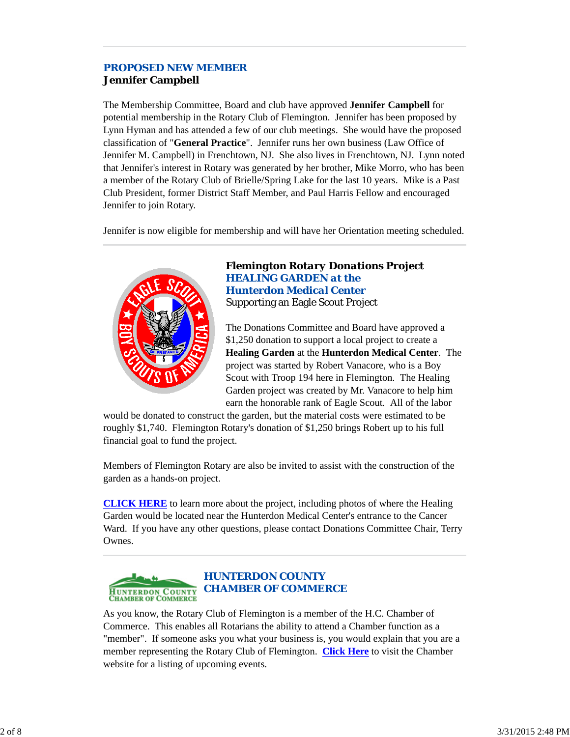# *PROPOSED NEW MEMBER* **Jennifer Campbell**

The Membership Committee, Board and club have approved **Jennifer Campbell** for potential membership in the Rotary Club of Flemington. Jennifer has been proposed by Lynn Hyman and has attended a few of our club meetings. She would have the proposed classification of "**General Practice**". Jennifer runs her own business (Law Office of Jennifer M. Campbell) in Frenchtown, NJ. She also lives in Frenchtown, NJ. Lynn noted that Jennifer's interest in Rotary was generated by her brother, Mike Morro, who has been a member of the Rotary Club of Brielle/Spring Lake for the last 10 years. Mike is a Past Club President, former District Staff Member, and Paul Harris Fellow and encouraged Jennifer to join Rotary.

Jennifer is now eligible for membership and will have her Orientation meeting scheduled.



## *Flemington Rotary Donations Project HEALING GARDEN at the Hunterdon Medical Center* Supporting an Eagle Scout Project

The Donations Committee and Board have approved a \$1,250 donation to support a local project to create a **Healing Garden** at the **Hunterdon Medical Center**. The project was started by Robert Vanacore, who is a Boy Scout with Troop 194 here in Flemington. The Healing Garden project was created by Mr. Vanacore to help him earn the honorable rank of Eagle Scout. All of the labor

would be donated to construct the garden, but the material costs were estimated to be roughly \$1,740. Flemington Rotary's donation of \$1,250 brings Robert up to his full financial goal to fund the project.

Members of Flemington Rotary are also be invited to assist with the construction of the garden as a hands-on project.

**CLICK HERE** to learn more about the project, including photos of where the Healing Garden would be located near the Hunterdon Medical Center's entrance to the Cancer Ward. If you have any other questions, please contact Donations Committee Chair, Terry Ownes.



As you know, the Rotary Club of Flemington is a member of the H.C. Chamber of Commerce. This enables all Rotarians the ability to attend a Chamber function as a "member". If someone asks you what your business is, you would explain that you are a member representing the Rotary Club of Flemington. **Click Here** to visit the Chamber website for a listing of upcoming events.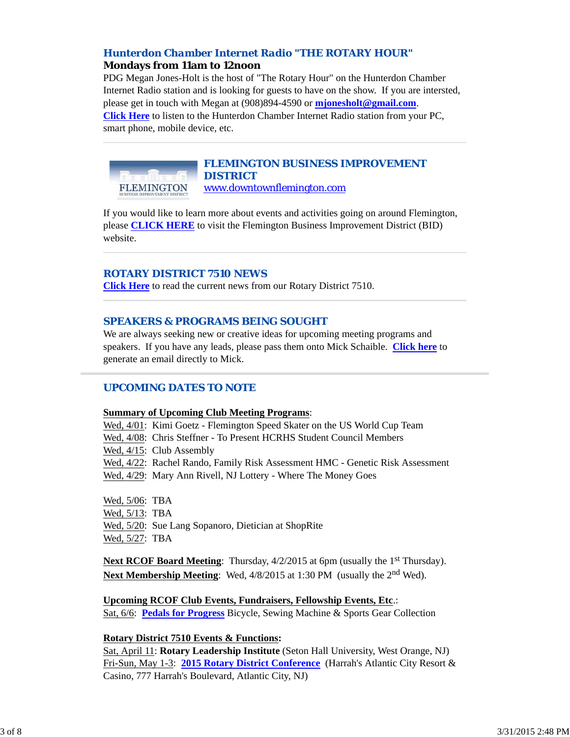## *Hunterdon Chamber Internet Radio "THE ROTARY HOUR"* **Mondays from 11am to 12noon**

PDG Megan Jones-Holt is the host of "The Rotary Hour" on the Hunterdon Chamber Internet Radio station and is looking for guests to have on the show. If you are intersted, please get in touch with Megan at (908)894-4590 or **mjonesholt@gmail.com**. **Click Here** to listen to the Hunterdon Chamber Internet Radio station from your PC, smart phone, mobile device, etc.



## *FLEMINGTON BUSINESS IMPROVEMENT DISTRICT* www.downtownflemington.com

If you would like to learn more about events and activities going on around Flemington, please **CLICK HERE** to visit the Flemington Business Improvement District (BID) website.

## *ROTARY DISTRICT 7510 NEWS*

**Click Here** to read the current news from our Rotary District 7510.

## *SPEAKERS & PROGRAMS BEING SOUGHT*

We are always seeking new or creative ideas for upcoming meeting programs and speakers. If you have any leads, please pass them onto Mick Schaible. **Click here** to generate an email directly to Mick.

## *UPCOMING DATES TO NOTE*

## **Summary of Upcoming Club Meeting Programs**:

Wed, 4/01: Kimi Goetz - Flemington Speed Skater on the US World Cup Team Wed, 4/08: Chris Steffner - To Present HCRHS Student Council Members Wed, 4/15: Club Assembly Wed, 4/22: Rachel Rando, Family Risk Assessment HMC - Genetic Risk Assessment Wed, 4/29: Mary Ann Rivell, NJ Lottery - Where The Money Goes Wed, 5/06: TBA

Wed, 5/13: TBA Wed, 5/20: Sue Lang Sopanoro, Dietician at ShopRite Wed, 5/27: TBA

**Next RCOF Board Meeting:** Thursday, 4/2/2015 at 6pm (usually the 1<sup>st</sup> Thursday). Next Membership Meeting: Wed, 4/8/2015 at 1:30 PM (usually the 2<sup>nd</sup> Wed).

**Upcoming RCOF Club Events, Fundraisers, Fellowship Events, Etc**.: Sat, 6/6: **Pedals for Progress** Bicycle, Sewing Machine & Sports Gear Collection

## **Rotary District 7510 Events & Functions:**

Sat, April 11: **Rotary Leadership Institute** (Seton Hall University, West Orange, NJ) Fri-Sun, May 1-3: **2015 Rotary District Conference** (Harrah's Atlantic City Resort & Casino, 777 Harrah's Boulevard, Atlantic City, NJ)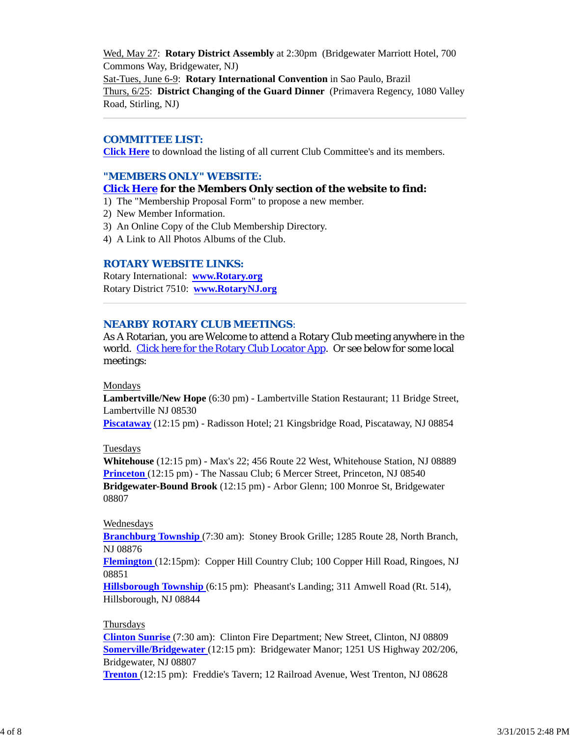Wed, May 27: **Rotary District Assembly** at 2:30pm (Bridgewater Marriott Hotel, 700 Commons Way, Bridgewater, NJ) Sat-Tues, June 6-9: **Rotary International Convention** in Sao Paulo, Brazil Thurs, 6/25: **District Changing of the Guard Dinner** (Primavera Regency, 1080 Valley Road, Stirling, NJ)

### *COMMITTEE LIST:*

**Click Here** to download the listing of all current Club Committee's and its members.

### *"MEMBERS ONLY" WEBSITE:*

### **Click Here for the Members Only section of the website to find:**

1) The "Membership Proposal Form" to propose a new member.

- 2) New Member Information.
- 3) An Online Copy of the Club Membership Directory.
- 4) A Link to All Photos Albums of the Club.

## *ROTARY WEBSITE LINKS:*

Rotary International: **www.Rotary.org** Rotary District 7510: **www.RotaryNJ.org**

#### *NEARBY ROTARY CLUB MEETINGS:*

As A Rotarian, you are Welcome to attend a Rotary Club meeting anywhere in the world. Click here for the Rotary Club Locator App. Or see below for some local meetings:

#### Mondays

**Lambertville/New Hope** (6:30 pm) - Lambertville Station Restaurant; 11 Bridge Street, Lambertville NJ 08530

**Piscataway** (12:15 pm) - Radisson Hotel; 21 Kingsbridge Road, Piscataway, NJ 08854

#### Tuesdays

**Whitehouse** (12:15 pm) - Max's 22; 456 Route 22 West, Whitehouse Station, NJ 08889 **Princeton** (12:15 pm) - The Nassau Club; 6 Mercer Street, Princeton, NJ 08540 **Bridgewater-Bound Brook** (12:15 pm) - Arbor Glenn; 100 Monroe St, Bridgewater 08807

#### Wednesdays

**Branchburg Township** (7:30 am): Stoney Brook Grille; 1285 Route 28, North Branch, NJ 08876

**Flemington** (12:15pm): Copper Hill Country Club; 100 Copper Hill Road, Ringoes, NJ 08851

**Hillsborough Township** (6:15 pm): Pheasant's Landing; 311 Amwell Road (Rt. 514), Hillsborough, NJ 08844

#### Thursdays

**Clinton Sunrise** (7:30 am): Clinton Fire Department; New Street, Clinton, NJ 08809 **Somerville/Bridgewater** (12:15 pm): Bridgewater Manor; 1251 US Highway 202/206, Bridgewater, NJ 08807

**Trenton** (12:15 pm): Freddie's Tavern; 12 Railroad Avenue, West Trenton, NJ 08628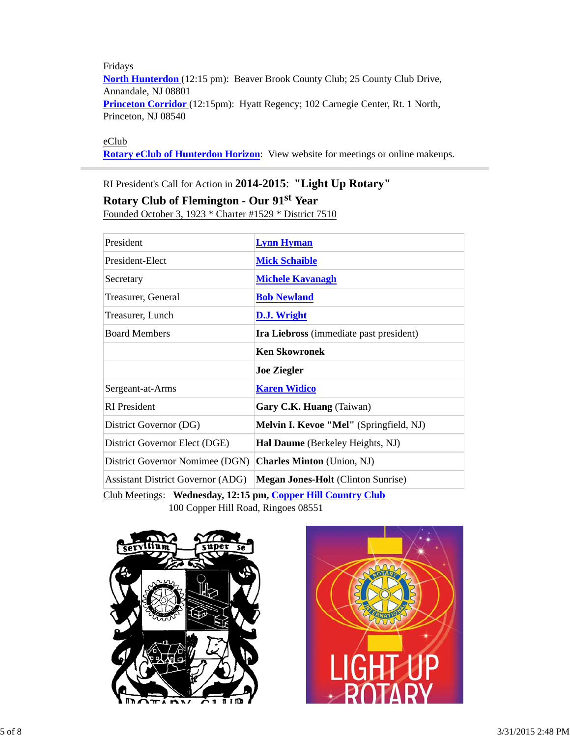Fridays **North Hunterdon** (12:15 pm): Beaver Brook County Club; 25 County Club Drive, Annandale, NJ 08801 **Princeton Corridor** (12:15pm): Hyatt Regency; 102 Carnegie Center, Rt. 1 North, Princeton, NJ 08540

eClub

**Rotary eClub of Hunterdon Horizon**: View website for meetings or online makeups.

# RI President's Call for Action in **2014-2015**: **"Light Up Rotary" Rotary Club of Flemington - Our 91st Year**

Founded October 3, 1923 \* Charter #1529 \* District 7510

| <b>Lynn Hyman</b>                         |  |
|-------------------------------------------|--|
| <b>Mick Schaible</b>                      |  |
| <b>Michele Kavanagh</b>                   |  |
| <b>Bob Newland</b>                        |  |
| D.J. Wright                               |  |
| Ira Liebross (immediate past president)   |  |
| <b>Ken Skowronek</b>                      |  |
| <b>Joe Ziegler</b>                        |  |
| <b>Karen Widico</b>                       |  |
| Gary C.K. Huang (Taiwan)                  |  |
| Melvin I. Kevoe "Mel" (Springfield, NJ)   |  |
| Hal Daume (Berkeley Heights, NJ)          |  |
| <b>Charles Minton</b> (Union, NJ)         |  |
| <b>Megan Jones-Holt</b> (Clinton Sunrise) |  |
|                                           |  |

Club Meetings: **Wednesday, 12:15 pm, Copper Hill Country Club** 100 Copper Hill Road, Ringoes 08551



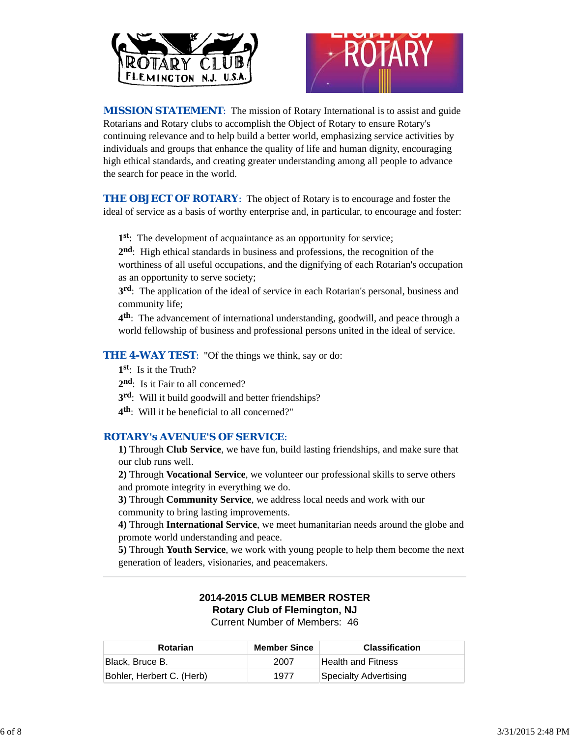



*MISSION STATEMENT*: The mission of Rotary International is to assist and guide Rotarians and Rotary clubs to accomplish the Object of Rotary to ensure Rotary's continuing relevance and to help build a better world, emphasizing service activities by individuals and groups that enhance the quality of life and human dignity, encouraging high ethical standards, and creating greater understanding among all people to advance the search for peace in the world.

**THE OBJECT OF ROTARY:** The object of Rotary is to encourage and foster the ideal of service as a basis of worthy enterprise and, in particular, to encourage and foster:

**1st**: The development of acquaintance as an opportunity for service;

**2nd**: High ethical standards in business and professions, the recognition of the worthiness of all useful occupations, and the dignifying of each Rotarian's occupation as an opportunity to serve society;

**3rd**: The application of the ideal of service in each Rotarian's personal, business and community life;

**4th**: The advancement of international understanding, goodwill, and peace through a world fellowship of business and professional persons united in the ideal of service.

**THE 4-WAY TEST:** "Of the things we think, say or do:

**1st**: Is it the Truth?

- 2<sup>nd</sup>: Is it Fair to all concerned?
- **3rd**: Will it build goodwill and better friendships?
- **4th**: Will it be beneficial to all concerned?"

## *ROTARY's AVENUE'S OF SERVICE*:

**1)** Through **Club Service**, we have fun, build lasting friendships, and make sure that our club runs well.

**2)** Through **Vocational Service**, we volunteer our professional skills to serve others and promote integrity in everything we do.

**3)** Through **Community Service**, we address local needs and work with our community to bring lasting improvements.

**4)** Through **International Service**, we meet humanitarian needs around the globe and promote world understanding and peace.

**5)** Through **Youth Service**, we work with young people to help them become the next generation of leaders, visionaries, and peacemakers.

## **2014-2015 CLUB MEMBER ROSTER Rotary Club of Flemington, NJ** Current Number of Members: 46

| Rotarian                  | <b>Member Since</b> | <b>Classification</b> |
|---------------------------|---------------------|-----------------------|
| Black, Bruce B.           | 2007                | Health and Fitness    |
| Bohler, Herbert C. (Herb) | 1977                | Specialty Advertising |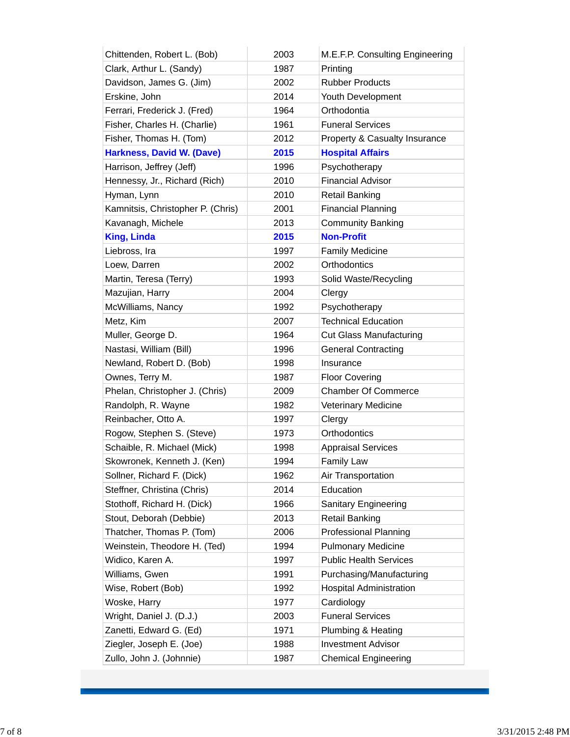| Chittenden, Robert L. (Bob)       | 2003 | M.E.F.P. Consulting Engineering |
|-----------------------------------|------|---------------------------------|
| Clark, Arthur L. (Sandy)          | 1987 | Printing                        |
| Davidson, James G. (Jim)          | 2002 | <b>Rubber Products</b>          |
| Erskine, John                     | 2014 | Youth Development               |
| Ferrari, Frederick J. (Fred)      | 1964 | Orthodontia                     |
| Fisher, Charles H. (Charlie)      | 1961 | <b>Funeral Services</b>         |
| Fisher, Thomas H. (Tom)           | 2012 | Property & Casualty Insurance   |
| <b>Harkness, David W. (Dave)</b>  | 2015 | <b>Hospital Affairs</b>         |
| Harrison, Jeffrey (Jeff)          | 1996 | Psychotherapy                   |
| Hennessy, Jr., Richard (Rich)     | 2010 | <b>Financial Advisor</b>        |
| Hyman, Lynn                       | 2010 | <b>Retail Banking</b>           |
| Kamnitsis, Christopher P. (Chris) | 2001 | <b>Financial Planning</b>       |
| Kavanagh, Michele                 | 2013 | <b>Community Banking</b>        |
| <b>King, Linda</b>                | 2015 | <b>Non-Profit</b>               |
| Liebross, Ira                     | 1997 | <b>Family Medicine</b>          |
| Loew, Darren                      | 2002 | Orthodontics                    |
| Martin, Teresa (Terry)            | 1993 | Solid Waste/Recycling           |
| Mazujian, Harry                   | 2004 | Clergy                          |
| McWilliams, Nancy                 | 1992 | Psychotherapy                   |
| Metz, Kim                         | 2007 | <b>Technical Education</b>      |
| Muller, George D.                 | 1964 | <b>Cut Glass Manufacturing</b>  |
| Nastasi, William (Bill)           | 1996 | <b>General Contracting</b>      |
| Newland, Robert D. (Bob)          | 1998 | Insurance                       |
| Ownes, Terry M.                   | 1987 | <b>Floor Covering</b>           |
| Phelan, Christopher J. (Chris)    | 2009 | <b>Chamber Of Commerce</b>      |
| Randolph, R. Wayne                | 1982 | Veterinary Medicine             |
| Reinbacher, Otto A.               | 1997 | Clergy                          |
| Rogow, Stephen S. (Steve)         | 1973 | Orthodontics                    |
| Schaible, R. Michael (Mick)       | 1998 | <b>Appraisal Services</b>       |
| Skowronek, Kenneth J. (Ken)       | 1994 | <b>Family Law</b>               |
| Sollner, Richard F. (Dick)        | 1962 | Air Transportation              |
| Steffner, Christina (Chris)       | 2014 | Education                       |
| Stothoff, Richard H. (Dick)       | 1966 | Sanitary Engineering            |
| Stout, Deborah (Debbie)           | 2013 | <b>Retail Banking</b>           |
| Thatcher, Thomas P. (Tom)         | 2006 | <b>Professional Planning</b>    |
| Weinstein, Theodore H. (Ted)      | 1994 | <b>Pulmonary Medicine</b>       |
| Widico, Karen A.                  | 1997 | <b>Public Health Services</b>   |
| Williams, Gwen                    | 1991 | Purchasing/Manufacturing        |
| Wise, Robert (Bob)                | 1992 | <b>Hospital Administration</b>  |
| Woske, Harry                      | 1977 | Cardiology                      |
| Wright, Daniel J. (D.J.)          | 2003 | <b>Funeral Services</b>         |
| Zanetti, Edward G. (Ed)           | 1971 | Plumbing & Heating              |
| Ziegler, Joseph E. (Joe)          | 1988 | <b>Investment Advisor</b>       |
| Zullo, John J. (Johnnie)          | 1987 | <b>Chemical Engineering</b>     |